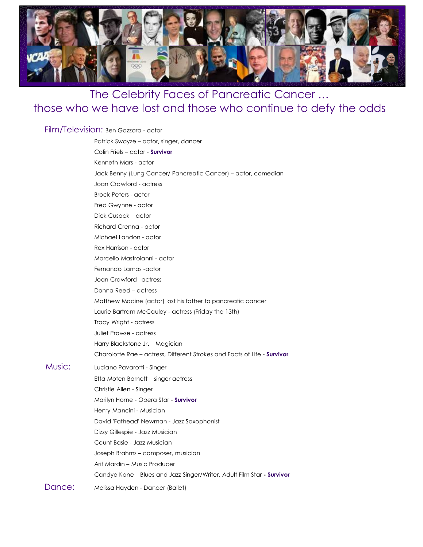

## The Celebrity Faces of Pancreatic Cancer … those who we have lost and those who continue to defy the odds

## Film/Television: Ben Gazzara - actor

|        | Patrick Swayze – actor, singer, dancer                                   |
|--------|--------------------------------------------------------------------------|
|        | Colin Friels - actor - Survivor                                          |
|        | Kenneth Mars - actor                                                     |
|        | Jack Benny (Lung Cancer/ Pancreatic Cancer) – actor, comedian            |
|        | Joan Crawford - actress                                                  |
|        | <b>Brock Peters - actor</b>                                              |
|        | Fred Gwynne - actor                                                      |
|        | Dick Cusack – actor                                                      |
|        | Richard Crenna - actor                                                   |
|        | Michael Landon - actor                                                   |
|        | Rex Harrison - actor                                                     |
|        | Marcello Mastroianni - actor                                             |
|        | Fernando Lamas - actor                                                   |
|        | Joan Crawford - actress                                                  |
|        | Donna Reed – actress                                                     |
|        | Matthew Modine (actor) lost his father to pancreatic cancer              |
|        | Laurie Bartram McCauley - actress (Friday the 13th)                      |
|        | Tracy Wright - actress                                                   |
|        | Juliet Prowse - actress                                                  |
|        | Harry Blackstone Jr. - Magician                                          |
|        | Charolotte Rae – actress, Different Strokes and Facts of Life - Survivor |
| Music: | Luciano Pavarotti - Singer                                               |
|        | Etta Moten Barnett – singer actress                                      |
|        | Christie Allen - Singer                                                  |
|        | Marilyn Horne - Opera Star - Survivor                                    |
|        | Henry Mancini - Musician                                                 |
|        | David 'Fathead' Newman - Jazz Saxophonist                                |
|        | Dizzy Gillespie - Jazz Musician                                          |
|        | Count Basie - Jazz Musician                                              |
|        | Joseph Brahms - composer, musician                                       |
|        | Arif Mardin - Music Producer                                             |
|        | Candye Kane - Blues and Jazz Singer/Writer, Adult Film Star - Survivor   |
| Dance: | Melissa Hayden - Dancer (Ballet)                                         |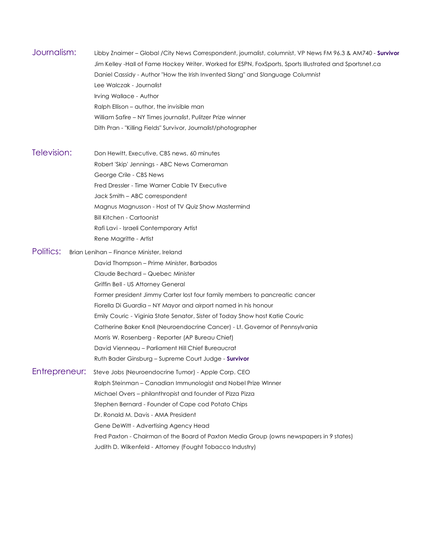Journalism: Libby Znaimer – Global /City News Correspondent, journalist, columnist, VP News FM 96.3 & AM740 **Survivor** Jim Kelley Hall of Fame Hockey Writer. Worked for ESPN, FoxSports, Sports Illustrated and Sportsnet.ca Daniel Cassidy - Author "How the Irish Invented Slang" and Slanguage Columnist Lee Walczak - Journalist Irving Wallace - Author Ralph Ellison – author, the invisible man William Safire – NY Times journalist, Pulitzer Prize winner Dith Pran "Killing Fields" Survivor, Journalist/photographer

Television: Don Hewitt, Executive, CBS news, <sup>60</sup> minutes Robert 'Skip' Jennings - ABC News Cameraman George Crile - CBS News Fred Dressler - Time Warner Cable TV Executive Jack Smith – ABC correspondent Magnus Magnusson - Host of TV Quiz Show Mastermind Bill Kitchen Cartoonist Rafi Lavi - Israeli Contemporary Artist Rene Magritte - Artist

Politics: Brian Lenihan - Finance Minister, Ireland

David Thompson – Prime Minister, Barbados

Claude Bechard – Quebec Minister

Griffin Bell - US Attorney General

Former president Jimmy Carter lost four family members to pancreatic cancer Fiorella Di Guardia – NY Mayor and airport named in his honour Emily Couric Viginia State Senator, Sister of Today Show host Katie Couric Catherine Baker Knoll (Neuroendocrine Cancer) Lt. Governor of Pennsylvania Morris W. Rosenberg - Reporter (AP Bureau Chief) David Vienneau – Parliament Hill Chief Bureaucrat Ruth Bader Ginsburg – Supreme Court Judge **Survivor**

Entrepreneur: Steve Jobs (Neuroendocrine Tumor) - Apple Corp. CEO Ralph Steinman – Canadian Immunologist and Nobel Prize WInner Michael Overs – philanthropist and founder of Pizza Pizza Stephen Bernard - Founder of Cape cod Potato Chips Dr. Ronald M. Davis - AMA President Gene DeWitt - Advertising Agency Head Fred Paxton Chairman of the Board of Paxton Media Group (owns newspapers in 9 states) Judith D. Wilkenfeld - Attorney (Fought Tobacco Industry)